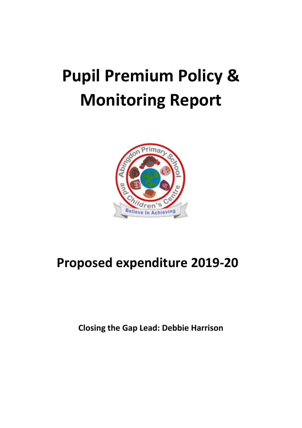## **Pupil Premium Policy & Monitoring Report**



## **Proposed expenditure 2019-20**

**Closing the Gap Lead: Debbie Harrison**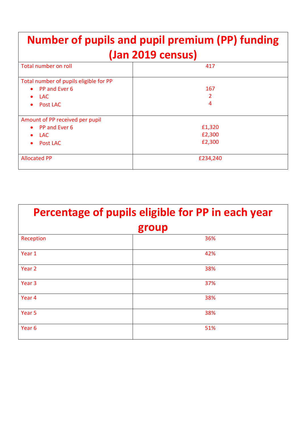| <b>Number of pupils and pupil premium (PP) funding</b><br>(Jan 2019 census) |          |  |  |  |
|-----------------------------------------------------------------------------|----------|--|--|--|
| Total number on roll<br>417                                                 |          |  |  |  |
|                                                                             |          |  |  |  |
| Total number of pupils eligible for PP                                      |          |  |  |  |
| PP and Ever 6<br>$\bullet$                                                  | 167      |  |  |  |
| <b>LAC</b><br>$\bullet$                                                     | 2        |  |  |  |
| Post LAC<br>$\bullet$                                                       | 4        |  |  |  |
| Amount of PP received per pupil                                             |          |  |  |  |
| • PP and Ever 6                                                             | £1,320   |  |  |  |
| <b>LAC</b><br>$\bullet$                                                     | £2,300   |  |  |  |
| Post LAC                                                                    | £2,300   |  |  |  |
| <b>Allocated PP</b>                                                         | £234,240 |  |  |  |

| Percentage of pupils eligible for PP in each year |     |  |  |  |
|---------------------------------------------------|-----|--|--|--|
| group                                             |     |  |  |  |
| Reception                                         | 36% |  |  |  |
| Year 1                                            | 42% |  |  |  |
| Year 2                                            | 38% |  |  |  |
| Year <sub>3</sub>                                 | 37% |  |  |  |
| Year 4                                            | 38% |  |  |  |
| Year <sub>5</sub>                                 | 38% |  |  |  |
| Year <sub>6</sub>                                 | 51% |  |  |  |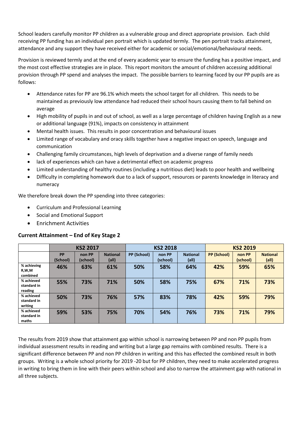School leaders carefully monitor PP children as a vulnerable group and direct appropriate provision. Each child receiving PP funding has an individual pen portrait which is updated termly. The pen portrait tracks attainment, attendance and any support they have received either for academic or social/emotional/behavioural needs.

Provision is reviewed termly and at the end of every academic year to ensure the funding has a positive impact, and the most cost effective strategies are in place. This report monitors the amount of children accessing additional provision through PP spend and analyses the impact. The possible barriers to learning faced by our PP pupils are as follows:

- Attendance rates for PP are 96.1% which meets the school target for all children. This needs to be maintained as previously low attendance had reduced their school hours causing them to fall behind on average
- High mobility of pupils in and out of school, as well as a large percentage of children having English as a new or additional language (91%), impacts on consistency in attainment
- Mental health issues. This results in poor concentration and behavioural issues
- Limited range of vocabulary and oracy skills together have a negative impact on speech, language and communication
- Challenging family circumstances, high levels of deprivation and a diverse range of family needs
- lack of experiences which can have a detrimental effect on academic progress
- Limited understanding of healthy routines (including a nutritious diet) leads to poor health and wellbeing
- Difficulty in completing homework due to a lack of support, resources or parents knowledge in literacy and numeracy

We therefore break down the PP spending into three categories:

- Curriculum and Professional Learning
- Social and Emotional Support
- Enrichment Activities

## **Current Attainment – End of Key Stage 2**

|                                      | <b>KS2 2017</b>       |                    |                          | <b>KS2 2018</b> |                    |                          | <b>KS2 2019</b>    |                    |                          |
|--------------------------------------|-----------------------|--------------------|--------------------------|-----------------|--------------------|--------------------------|--------------------|--------------------|--------------------------|
|                                      | <b>PP</b><br>(School) | non PP<br>(school) | <b>National</b><br>(all) | PP (School)     | non PP<br>(school) | <b>National</b><br>(all) | <b>PP (School)</b> | non PP<br>(school) | <b>National</b><br>(all) |
| % achieving<br>R,W,M<br>combined     | 46%                   | 63%                | 61%                      | 50%             | 58%                | 64%                      | 42%                | 59%                | 65%                      |
| % achieved<br>standard in<br>reading | 55%                   | 73%                | 71%                      | 50%             | 58%                | 75%                      | 67%                | 71%                | 73%                      |
| % achieved<br>standard in<br>writing | 50%                   | 73%                | 76%                      | 57%             | 83%                | 78%                      | 42%                | 59%                | 79%                      |
| % achieved<br>standard in<br>maths   | 59%                   | 53%                | 75%                      | 70%             | 54%                | 76%                      | 73%                | 71%                | 79%                      |

The results from 2019 show that attainment gap within school is narrowing between PP and non PP pupils from individual assessment results in reading and writing but a large gap remains with combined results. There is a significant difference between PP and non PP children in writing and this has effected the combined result in both groups. Writing is a whole school priority for 2019 -20 but for PP children, they need to make accelerated progress in writing to bring them in line with their peers within school and also to narrow the attainment gap with national in all three subjects.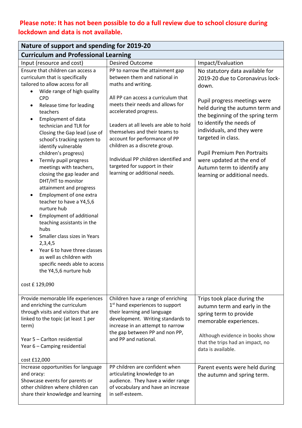## **Please note: It has not been possible to do a full review due to school closure during lockdown and data is not available.**

| Nature of support and spending for 2019-20                                                                                                                                                                                                                                                                                                                                                                                                                                                                                                                                                                                                                                             |                                                                                                                                                                                                                                                                                                                                                                                                                                                   |                                                                                                                                                                                                                                                                                                                                                                                                  |  |  |  |  |
|----------------------------------------------------------------------------------------------------------------------------------------------------------------------------------------------------------------------------------------------------------------------------------------------------------------------------------------------------------------------------------------------------------------------------------------------------------------------------------------------------------------------------------------------------------------------------------------------------------------------------------------------------------------------------------------|---------------------------------------------------------------------------------------------------------------------------------------------------------------------------------------------------------------------------------------------------------------------------------------------------------------------------------------------------------------------------------------------------------------------------------------------------|--------------------------------------------------------------------------------------------------------------------------------------------------------------------------------------------------------------------------------------------------------------------------------------------------------------------------------------------------------------------------------------------------|--|--|--|--|
| <b>Curriculum and Professional Learning</b>                                                                                                                                                                                                                                                                                                                                                                                                                                                                                                                                                                                                                                            |                                                                                                                                                                                                                                                                                                                                                                                                                                                   |                                                                                                                                                                                                                                                                                                                                                                                                  |  |  |  |  |
| Input (resource and cost)                                                                                                                                                                                                                                                                                                                                                                                                                                                                                                                                                                                                                                                              | <b>Desired Outcome</b>                                                                                                                                                                                                                                                                                                                                                                                                                            | Impact/Evaluation                                                                                                                                                                                                                                                                                                                                                                                |  |  |  |  |
| Ensure that children can access a<br>curriculum that is specifically<br>tailored to allow access for all<br>Wide range of high quality<br><b>CPD</b><br>Release time for leading<br>teachers<br>Employment of data<br>technician and TLR for<br>Closing the Gap lead (use of<br>school's tracking system to<br>identify vulnerable<br>children's progress)<br>Termly pupil progress<br>meetings with teachers,<br>closing the gap leader and<br>DHT/HT to monitor<br>attainment and progress<br>Employment of one extra<br>teacher to have a Y4,5,6<br>nurture hub<br><b>Employment of additional</b><br>teaching assistants in the<br>hubs<br>Smaller class sizes in Years<br>2,3,4,5 | PP to narrow the attainment gap<br>between them and national in<br>maths and writing.<br>All PP can access a curriculum that<br>meets their needs and allows for<br>accelerated progress.<br>Leaders at all levels are able to hold<br>themselves and their teams to<br>account for performance of PP<br>children as a discrete group.<br>Individual PP children identified and<br>targeted for support in their<br>learning or additional needs. | No statutory data available for<br>2019-20 due to Coronavirus lock-<br>down.<br>Pupil progress meetings were<br>held during the autumn term and<br>the beginning of the spring term<br>to identify the needs of<br>individuals, and they were<br>targeted in class.<br>Pupil Premium Pen Portraits<br>were updated at the end of<br>Autumn term to identify any<br>learning or additional needs. |  |  |  |  |
| Year 6 to have three classes<br>as well as children with<br>specific needs able to access<br>the Y4,5,6 nurture hub<br>cost £ 129,090                                                                                                                                                                                                                                                                                                                                                                                                                                                                                                                                                  |                                                                                                                                                                                                                                                                                                                                                                                                                                                   |                                                                                                                                                                                                                                                                                                                                                                                                  |  |  |  |  |
|                                                                                                                                                                                                                                                                                                                                                                                                                                                                                                                                                                                                                                                                                        |                                                                                                                                                                                                                                                                                                                                                                                                                                                   |                                                                                                                                                                                                                                                                                                                                                                                                  |  |  |  |  |
| Provide memorable life experiences<br>and enriching the curriculum<br>through visits and visitors that are<br>linked to the topic (at least 1 per<br>term)<br>Year 5 - Carlton residential                                                                                                                                                                                                                                                                                                                                                                                                                                                                                             | Children have a range of enriching<br>1 <sup>st</sup> hand experiences to support<br>their learning and language<br>development. Writing standards to<br>increase in an attempt to narrow<br>the gap between PP and non PP,<br>and PP and national.                                                                                                                                                                                               | Trips took place during the<br>autumn term and early in the<br>spring term to provide<br>memorable experiences.<br>Although evidence in books show<br>that the trips had an impact, no                                                                                                                                                                                                           |  |  |  |  |
| Year 6 - Camping residential<br>cost £12,000                                                                                                                                                                                                                                                                                                                                                                                                                                                                                                                                                                                                                                           |                                                                                                                                                                                                                                                                                                                                                                                                                                                   | data is available.                                                                                                                                                                                                                                                                                                                                                                               |  |  |  |  |
| Increase opportunities for language<br>and oracy:<br>Showcase events for parents or<br>other children where children can<br>share their knowledge and learning                                                                                                                                                                                                                                                                                                                                                                                                                                                                                                                         | PP children are confident when<br>articulating knowledge to an<br>audience. They have a wider range<br>of vocabulary and have an increase<br>in self-esteem.                                                                                                                                                                                                                                                                                      | Parent events were held during<br>the autumn and spring term.                                                                                                                                                                                                                                                                                                                                    |  |  |  |  |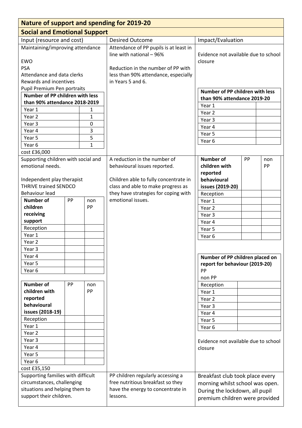| <b>Nature of support and spending for 2019-20</b>         |    |              |                                                                        |                                      |  |  |
|-----------------------------------------------------------|----|--------------|------------------------------------------------------------------------|--------------------------------------|--|--|
| <b>Social and Emotional Support</b>                       |    |              |                                                                        |                                      |  |  |
| Input (resource and cost)                                 |    |              | <b>Desired Outcome</b>                                                 | Impact/Evaluation                    |  |  |
| Maintaining/improving attendance                          |    |              | Attendance of PP pupils is at least in                                 |                                      |  |  |
|                                                           |    |              | line with national - 96%                                               | Evidence not available due to school |  |  |
| <b>EWO</b>                                                |    |              |                                                                        | closure                              |  |  |
| <b>PSA</b>                                                |    |              | Reduction in the number of PP with                                     |                                      |  |  |
| Attendance and data clerks                                |    |              | less than 90% attendance, especially                                   |                                      |  |  |
| Rewards and incentives                                    |    |              | in Years 5 and 6.                                                      |                                      |  |  |
| Pupil Premium Pen portraits                               |    |              |                                                                        | Number of PP children with less      |  |  |
| <b>Number of PP children with less</b>                    |    |              |                                                                        | than 90% attendance 2019-20          |  |  |
| than 90% attendance 2018-2019                             |    |              |                                                                        | Year 1                               |  |  |
| Year 1                                                    |    | 1            |                                                                        | Year 2                               |  |  |
| Year 2                                                    |    | 1            |                                                                        | Year 3                               |  |  |
| Year 3                                                    |    | $\mathbf 0$  |                                                                        | Year 4                               |  |  |
| Year 4                                                    |    | 3            |                                                                        | Year 5                               |  |  |
| Year 5                                                    |    | 5            |                                                                        | Year 6                               |  |  |
| Year 6                                                    |    | $\mathbf{1}$ |                                                                        |                                      |  |  |
| cost £36,000                                              |    |              |                                                                        |                                      |  |  |
| Supporting children with social and                       |    |              | A reduction in the number of                                           | <b>Number of</b><br>PP<br>non        |  |  |
| emotional needs.                                          |    |              | behavioural issues reported.                                           | children with<br>PP                  |  |  |
|                                                           |    |              |                                                                        | reported                             |  |  |
| Independent play therapist                                |    |              | Children able to fully concentrate in                                  | behavioural                          |  |  |
| <b>THRIVE trained SENDCO</b>                              |    |              | class and able to make progress as                                     | issues (2019-20)                     |  |  |
| <b>Behaviour lead</b>                                     |    |              | they have strategies for coping with                                   | Reception                            |  |  |
| <b>Number of</b>                                          | PP | non          | emotional issues.                                                      | Year 1                               |  |  |
| children                                                  |    | PP           |                                                                        | Year 2                               |  |  |
| receiving                                                 |    |              |                                                                        | Year 3                               |  |  |
| support                                                   |    |              |                                                                        | Year 4                               |  |  |
| Reception                                                 |    |              |                                                                        | Year 5                               |  |  |
| Year 1                                                    |    |              |                                                                        | Year <sub>6</sub>                    |  |  |
| Year <sub>2</sub>                                         |    |              |                                                                        |                                      |  |  |
| Year <sub>3</sub>                                         |    |              |                                                                        |                                      |  |  |
| Year 4                                                    |    |              |                                                                        | Number of PP children placed on      |  |  |
| Year 5                                                    |    |              |                                                                        | report for behaviour (2019-20)       |  |  |
| Year <sub>6</sub>                                         |    |              |                                                                        | PP                                   |  |  |
|                                                           |    |              |                                                                        | non PP                               |  |  |
| <b>Number of</b>                                          | PP | non          |                                                                        | Reception                            |  |  |
| children with                                             |    | PP           |                                                                        | Year 1                               |  |  |
| reported<br>behavioural                                   |    |              |                                                                        | Year 2                               |  |  |
| issues (2018-19)                                          |    |              |                                                                        | Year 3                               |  |  |
| Reception                                                 |    |              |                                                                        | Year 4                               |  |  |
|                                                           |    |              |                                                                        | Year 5                               |  |  |
| Year 1                                                    |    |              |                                                                        | Year 6                               |  |  |
| Year 2                                                    |    |              |                                                                        |                                      |  |  |
| Year <sub>3</sub>                                         |    |              |                                                                        | Evidence not available due to school |  |  |
| Year 4                                                    |    |              |                                                                        | closure                              |  |  |
| Year 5                                                    |    |              |                                                                        |                                      |  |  |
| Year 6                                                    |    |              |                                                                        |                                      |  |  |
| cost £35,150                                              |    |              |                                                                        |                                      |  |  |
| Supporting families with difficult                        |    |              | PP children regularly accessing a<br>free nutritious breakfast so they | Breakfast club took place every      |  |  |
| circumstances, challenging                                |    |              | have the energy to concentrate in                                      | morning whilst school was open.      |  |  |
| situations and helping them to<br>support their children. |    |              | lessons.                                                               | During the lockdown, all pupil       |  |  |
|                                                           |    |              |                                                                        | premium children were provided       |  |  |